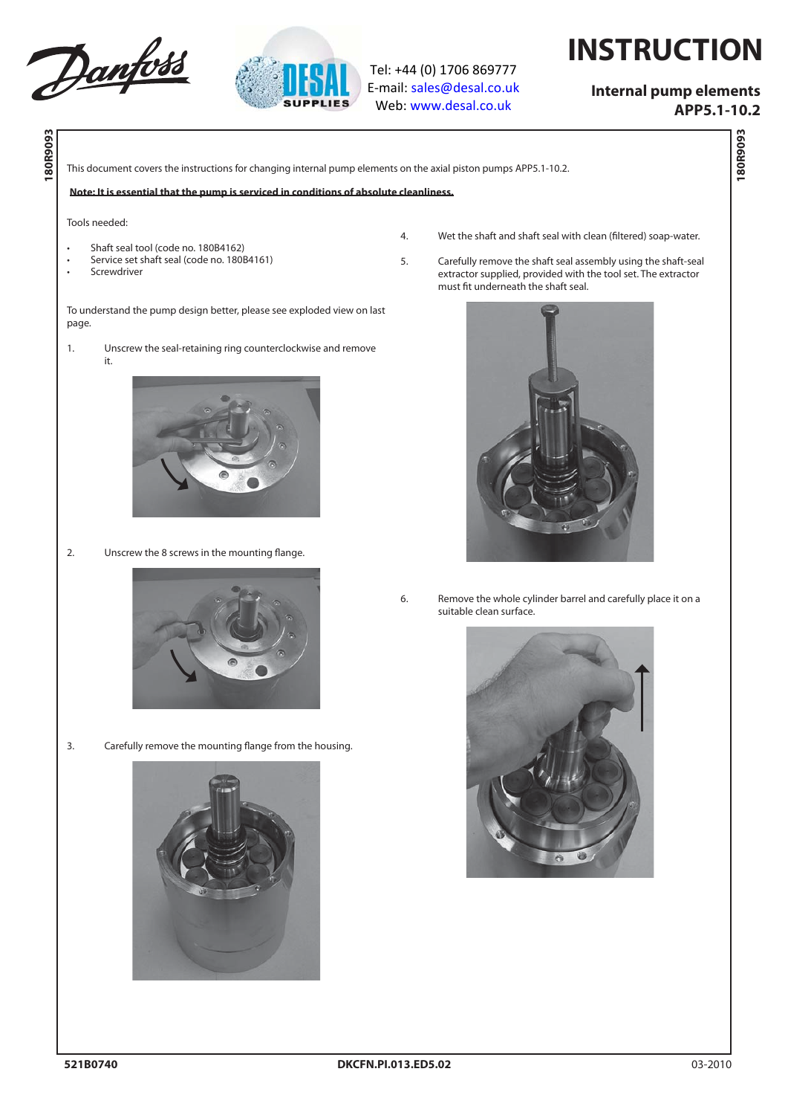



Tel: +44 (0) 1706 869777 E‐mail: sales@desal.co.uk Web: www.desal.co.uk

## **INSTRUCTION**

## **Internal pump elements**

 **APP5.1-10.2** 

**180R9093**

180R9093

**180R9093 180R9093**

This document covers the instructions for changing internal pump elements on the axial piston pumps APP5.1-10.2.

**Note: It is essential that the pump is serviced in conditions of absolute cleanliness.**

## Tools needed:

page.

- Shaft seal tool (code no. 180B4162)
- Service set shaft seal (code no. 180B4161)
- **Screwdriver**

it.

4. Wet the shaft and shaft seal with clean (filtered) soap-water.

5. Carefully remove the shaft seal assembly using the shaft-seal extractor supplied, provided with the tool set. The extractor must fit underneath the shaft seal.



6. Remove the whole cylinder barrel and carefully place it on a suitable clean surface.



To understand the pump design better, please see exploded view on last

1. Unscrew the seal-retaining ring counterclockwise and remove

2. Unscrew the 8 screws in the mounting flange.



3. Carefully remove the mounting flange from the housing.

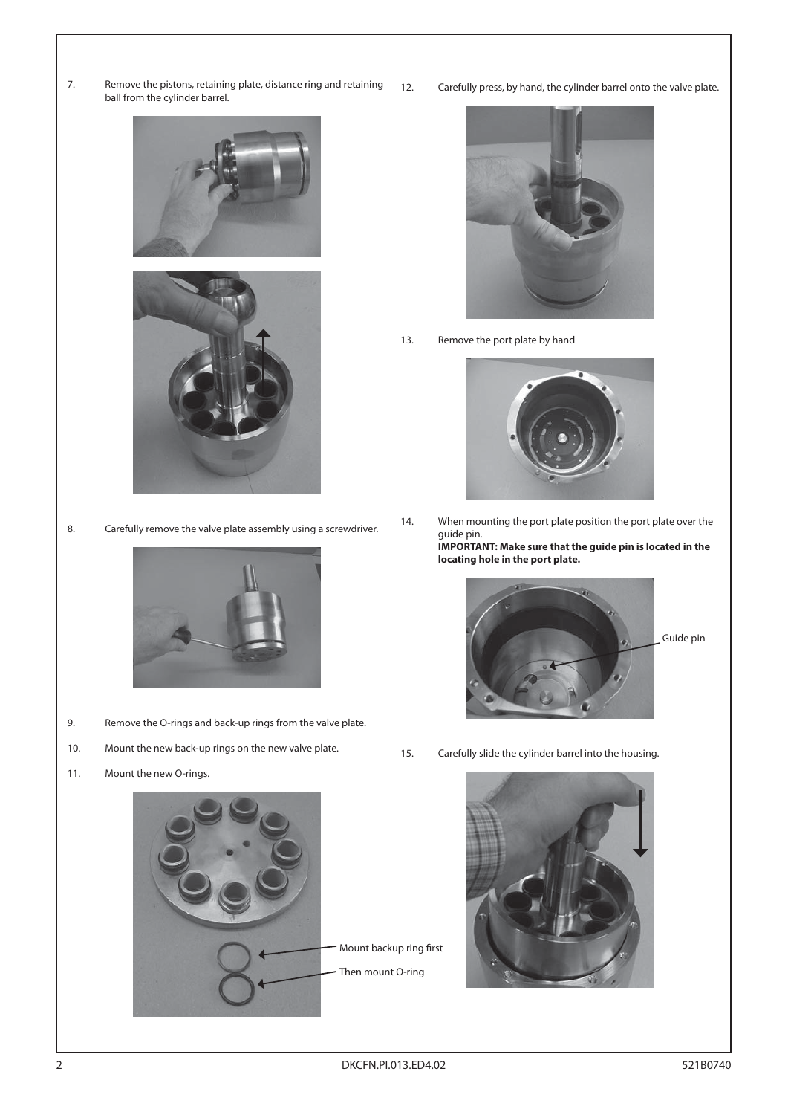7. Remove the pistons, retaining plate, distance ring and retaining ball from the cylinder barrel.





8. Carefully remove the valve plate assembly using a screwdriver.



- 9. Remove the O-rings and back-up rings from the valve plate.
- 10. Mount the new back-up rings on the new valve plate.
- 11. Mount the new O-rings.



12. Carefully press, by hand, the cylinder barrel onto the valve plate.



13. Remove the port plate by hand



14. When mounting the port plate position the port plate over the guide pin. **IMPORTANT: Make sure that the guide pin is located in the** 

**locating hole in the port plate.**



Guide pin

15. Carefully slide the cylinder barrel into the housing.

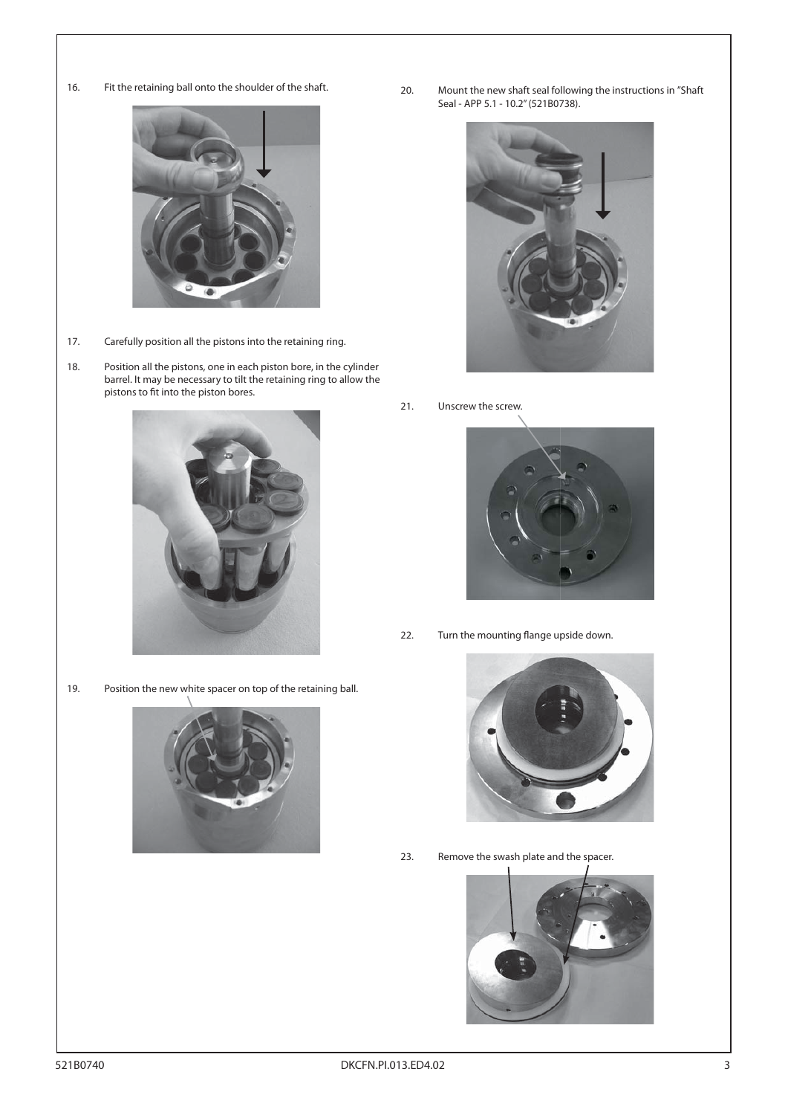- 
- 16. Fit the retaining ball onto the shoulder of the shaft.



- 17. Carefully position all the pistons into the retaining ring.
- 18. Position all the pistons, one in each piston bore, in the cylinder barrel. It may be necessary to tilt the retaining ring to allow the pistons to fit into the piston bores.



19. Position the new white spacer on top of the retaining ball.



20. Mount the new shaft seal following the instructions in "Shaft Seal - APP 5.1 - 10.2" (521B0738).



21. Unscrew the screw.



22. Turn the mounting flange upside down.



23. Remove the swash plate and the spacer.

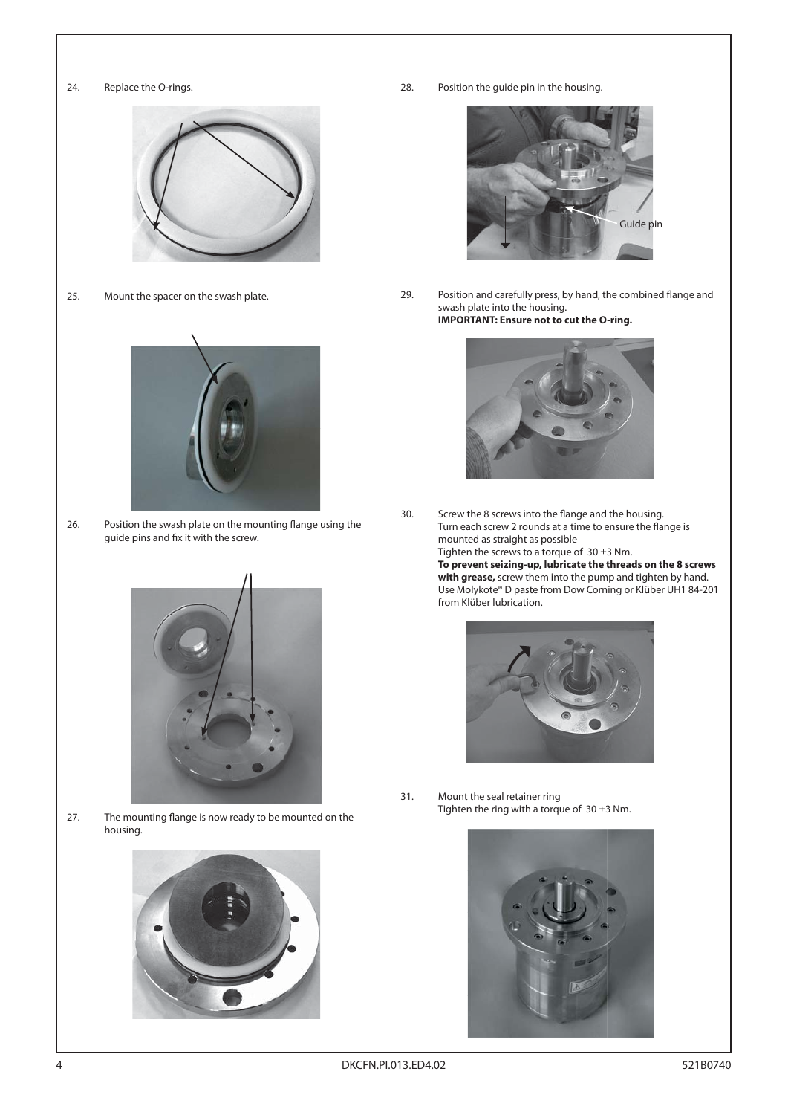



25. Mount the spacer on the swash plate.



26. Position the swash plate on the mounting flange using the guide pins and fix it with the screw.



27. The mounting flange is now ready to be mounted on the housing.



28. Position the guide pin in the housing.



29. Position and carefully press, by hand, the combined flange and swash plate into the housing. **IMPORTANT: Ensure not to cut the O-ring.**



30. Screw the 8 screws into the flange and the housing. Turn each screw 2 rounds at a time to ensure the flange is mounted as straight as possible

Tighten the screws to a torque of  $30 \pm 3$  Nm.  **To prevent seizing-up, lubricate the threads on the 8 screws with grease,** screw them into the pump and tighten by hand. Use Molykote® D paste from Dow Corning or Klüber UH1 84-201 from Klüber lubrication.



31. Mount the seal retainer ring Tighten the ring with a torque of  $30 \pm 3$  Nm.

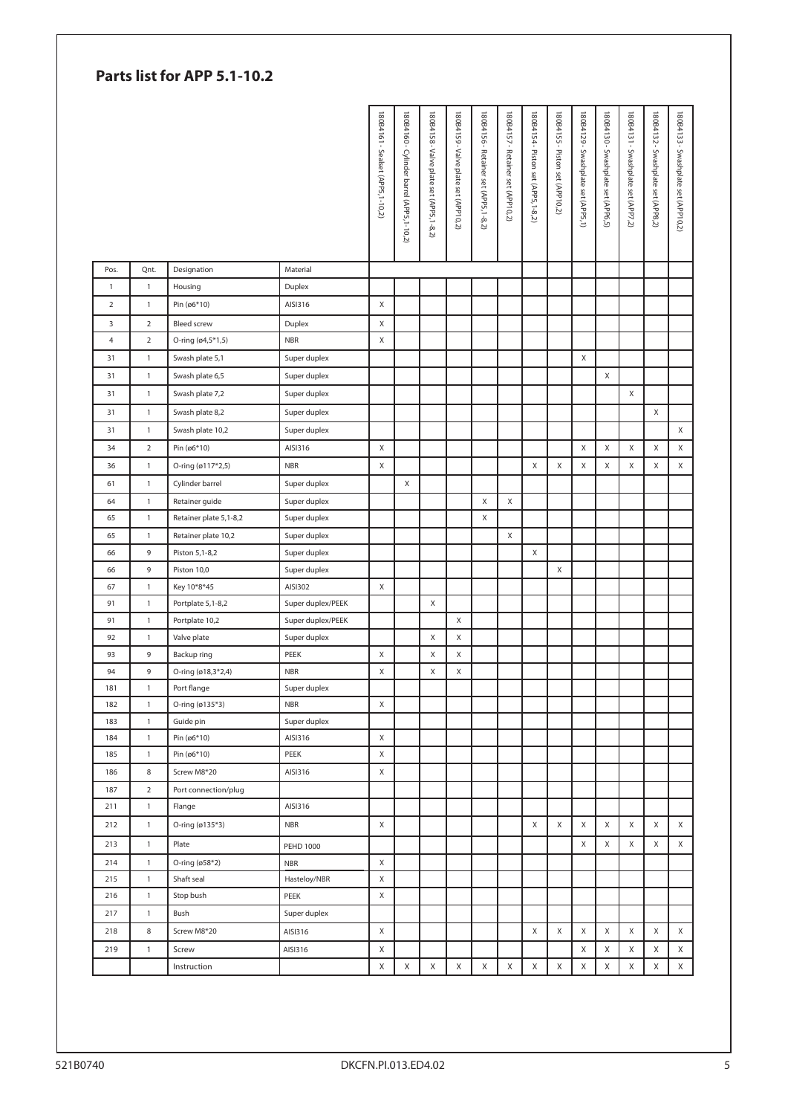| Parts list for APP 5.1-10.2 |                             |                                       |                              |                                   |                                          |                                         |                                      |                                      |                                   |                                    |                                 |                                    |                                    |                                    |                                    |                                     |
|-----------------------------|-----------------------------|---------------------------------------|------------------------------|-----------------------------------|------------------------------------------|-----------------------------------------|--------------------------------------|--------------------------------------|-----------------------------------|------------------------------------|---------------------------------|------------------------------------|------------------------------------|------------------------------------|------------------------------------|-------------------------------------|
|                             |                             |                                       |                              | 180B4161 - Sealset (APP5, 1-10,2) | 180B4160 - Cylinder barrel (APP5,1-10,2) | 180B4158 - Valve plate set (APP5,1-8,2) | 180B4159 - Valve plate set (APP10,2) | 180B4156 - Retainer set (APP5,1-8,2) | 180B4157 - Retainer set (APP10,2) | 180B4154 - Piston set (APP5,1-8,2) | 180B4155 - Piston set (APP10,2) | 180B4129 - Swashplate set (APP5,1) | 180B4130 - Swashplate set (APP6,5) | 180B4131 - Swashplate set (APP7,2) | 180B4132 - Swashplate set (APP8,2) | 180B4133 - Swashplate set (APP10,2) |
| Pos.                        | Qnt.                        | Designation                           | Material                     |                                   |                                          |                                         |                                      |                                      |                                   |                                    |                                 |                                    |                                    |                                    |                                    |                                     |
| $\mathbf{1}$                | $\mathbf{1}$                | Housing                               | Duplex                       |                                   |                                          |                                         |                                      |                                      |                                   |                                    |                                 |                                    |                                    |                                    |                                    |                                     |
| $\overline{2}$              | $\mathbf{1}$                | Pin (ø6*10)                           | AISI316                      | X                                 |                                          |                                         |                                      |                                      |                                   |                                    |                                 |                                    |                                    |                                    |                                    |                                     |
| 3                           | $\mathbf 2$                 | <b>Bleed screw</b>                    | Duplex                       | Χ                                 |                                          |                                         |                                      |                                      |                                   |                                    |                                 |                                    |                                    |                                    |                                    |                                     |
| 4                           | $\overline{2}$              | O-ring (ø4,5*1,5)                     | <b>NBR</b>                   | X                                 |                                          |                                         |                                      |                                      |                                   |                                    |                                 |                                    |                                    |                                    |                                    |                                     |
| 31                          | $\mathbf{1}$                | Swash plate 5,1                       | Super duplex                 |                                   |                                          |                                         |                                      |                                      |                                   |                                    |                                 | X                                  |                                    |                                    |                                    |                                     |
| 31                          | $\mathbf{1}$                | Swash plate 6,5                       | Super duplex                 |                                   |                                          |                                         |                                      |                                      |                                   |                                    |                                 |                                    | X                                  |                                    |                                    |                                     |
| 31                          | $\mathbf{1}$                | Swash plate 7,2                       | Super duplex                 |                                   |                                          |                                         |                                      |                                      |                                   |                                    |                                 |                                    |                                    | X                                  |                                    |                                     |
| 31                          | $\mathbf{1}$                | Swash plate 8,2                       |                              |                                   |                                          |                                         |                                      |                                      |                                   |                                    |                                 |                                    |                                    |                                    | X                                  |                                     |
| 31                          | $\mathbf{1}$                | Swash plate 10,2                      | Super duplex<br>Super duplex |                                   |                                          |                                         |                                      |                                      |                                   |                                    |                                 |                                    |                                    |                                    |                                    | X                                   |
|                             |                             |                                       |                              |                                   |                                          |                                         |                                      |                                      |                                   |                                    |                                 |                                    |                                    |                                    |                                    |                                     |
| 34<br>36                    | $\mathbf 2$<br>$\mathbf{1}$ | Pin (ø6*10)                           | AISI316<br><b>NBR</b>        | X<br>X                            |                                          |                                         |                                      |                                      |                                   | X                                  | Χ                               | X<br>Χ                             | X<br>X                             | X<br>X                             | X<br>Χ                             | X<br>X                              |
|                             |                             | O-ring (ø117*2,5)                     |                              |                                   |                                          |                                         |                                      |                                      |                                   |                                    |                                 |                                    |                                    |                                    |                                    |                                     |
| 61                          | $\mathbf{1}$                | Cylinder barrel                       | Super duplex                 |                                   | Χ                                        |                                         |                                      |                                      |                                   |                                    |                                 |                                    |                                    |                                    |                                    |                                     |
| 64                          | $\mathbf{1}$                | Retainer guide                        | Super duplex                 |                                   |                                          |                                         |                                      | X                                    | X                                 |                                    |                                 |                                    |                                    |                                    |                                    |                                     |
| 65                          | $\mathbf{1}$                | Retainer plate 5,1-8,2                | Super duplex                 |                                   |                                          |                                         |                                      | X                                    |                                   |                                    |                                 |                                    |                                    |                                    |                                    |                                     |
| 65<br>66                    | $\mathbf{1}$<br>9           | Retainer plate 10,2<br>Piston 5,1-8,2 | Super duplex<br>Super duplex |                                   |                                          |                                         |                                      |                                      | X                                 | Χ                                  |                                 |                                    |                                    |                                    |                                    |                                     |
| 66                          | 9                           | Piston 10,0                           | Super duplex                 |                                   |                                          |                                         |                                      |                                      |                                   |                                    | Χ                               |                                    |                                    |                                    |                                    |                                     |
| 67                          | $\mathbf{1}$                | Key 10*8*45                           | AISI302                      | Χ                                 |                                          |                                         |                                      |                                      |                                   |                                    |                                 |                                    |                                    |                                    |                                    |                                     |
| 91                          | $\mathbf{1}$                | Portplate 5,1-8,2                     | Super duplex/PEEK            |                                   |                                          | X                                       |                                      |                                      |                                   |                                    |                                 |                                    |                                    |                                    |                                    |                                     |
| 91                          | $\mathbf{1}$                | Portplate 10,2                        | Super duplex/PEEK            |                                   |                                          |                                         | X                                    |                                      |                                   |                                    |                                 |                                    |                                    |                                    |                                    |                                     |
| 92                          | $\mathbf{1}$                | Valve plate                           | Super duplex                 |                                   |                                          | Χ                                       | X                                    |                                      |                                   |                                    |                                 |                                    |                                    |                                    |                                    |                                     |
| 93                          | 9                           | Backup ring                           | PEEK                         | X                                 |                                          | X                                       | X                                    |                                      |                                   |                                    |                                 |                                    |                                    |                                    |                                    |                                     |
| 94                          | 9                           | O-ring (ø18,3*2,4)                    | <b>NBR</b>                   | X                                 |                                          | Χ                                       | X                                    |                                      |                                   |                                    |                                 |                                    |                                    |                                    |                                    |                                     |
| 181                         | $\mathbf{1}$                | Port flange                           | Super duplex                 |                                   |                                          |                                         |                                      |                                      |                                   |                                    |                                 |                                    |                                    |                                    |                                    |                                     |
| 182                         | $\mathbf{1}$                | O-ring (ø135*3)                       | <b>NBR</b>                   | X                                 |                                          |                                         |                                      |                                      |                                   |                                    |                                 |                                    |                                    |                                    |                                    |                                     |
| 183                         | $\mathbf{1}$                | Guide pin                             | Super duplex                 |                                   |                                          |                                         |                                      |                                      |                                   |                                    |                                 |                                    |                                    |                                    |                                    |                                     |
| 184                         | $\mathbf{1}$                | Pin (ø6*10)                           | AISI316                      | X                                 |                                          |                                         |                                      |                                      |                                   |                                    |                                 |                                    |                                    |                                    |                                    |                                     |
| 185                         | $\mathbf{1}$                | Pin (ø6*10)                           | PEEK                         | X                                 |                                          |                                         |                                      |                                      |                                   |                                    |                                 |                                    |                                    |                                    |                                    |                                     |
| 186                         | $\,$ 8 $\,$                 | Screw M8*20                           | AISI316                      | X                                 |                                          |                                         |                                      |                                      |                                   |                                    |                                 |                                    |                                    |                                    |                                    |                                     |
| 187                         | $\overline{2}$              | Port connection/plug                  |                              |                                   |                                          |                                         |                                      |                                      |                                   |                                    |                                 |                                    |                                    |                                    |                                    |                                     |
| 211                         | $\mathbf{1}$                | Flange                                | AISI316                      |                                   |                                          |                                         |                                      |                                      |                                   |                                    |                                 |                                    |                                    |                                    |                                    |                                     |
| 212                         | $\mathbf{1}$                | O-ring (ø135*3)                       | <b>NBR</b>                   | X                                 |                                          |                                         |                                      |                                      |                                   | X                                  | X                               | X                                  | X                                  | X                                  | X                                  | X                                   |
| 213                         | $\mathbf{1}$                | Plate                                 | <b>PEHD 1000</b>             |                                   |                                          |                                         |                                      |                                      |                                   |                                    |                                 | Χ                                  | X                                  | X                                  | X                                  | X                                   |
| 214                         | $\mathbf{1}$                | O-ring (ø58*2)                        | <b>NBR</b>                   | $\mathsf X$                       |                                          |                                         |                                      |                                      |                                   |                                    |                                 |                                    |                                    |                                    |                                    |                                     |
| 215                         | $\mathbf{1}$                | Shaft seal                            | Hasteloy/NBR                 | X                                 |                                          |                                         |                                      |                                      |                                   |                                    |                                 |                                    |                                    |                                    |                                    |                                     |
| 216                         | $\mathbf{1}$                | Stop bush                             | PEEK                         | X                                 |                                          |                                         |                                      |                                      |                                   |                                    |                                 |                                    |                                    |                                    |                                    |                                     |
| 217                         | $\mathbf{1}$                | Bush                                  | Super duplex                 |                                   |                                          |                                         |                                      |                                      |                                   |                                    |                                 |                                    |                                    |                                    |                                    |                                     |
| 218                         | 8                           | Screw M8*20                           | AISI316                      | X                                 |                                          |                                         |                                      |                                      |                                   | X                                  | X                               | X                                  | X                                  | X                                  | X                                  | X                                   |
| 219                         | $\mathbf{1}$                | Screw                                 | AISI316                      | Χ                                 |                                          |                                         |                                      |                                      |                                   |                                    |                                 | Χ                                  | Χ                                  | X                                  | X                                  | X                                   |
|                             |                             | Instruction                           |                              | X                                 | X                                        | X                                       | X                                    | X                                    | X                                 | X                                  | Χ                               | Χ                                  | X                                  | X                                  | X                                  | X                                   |